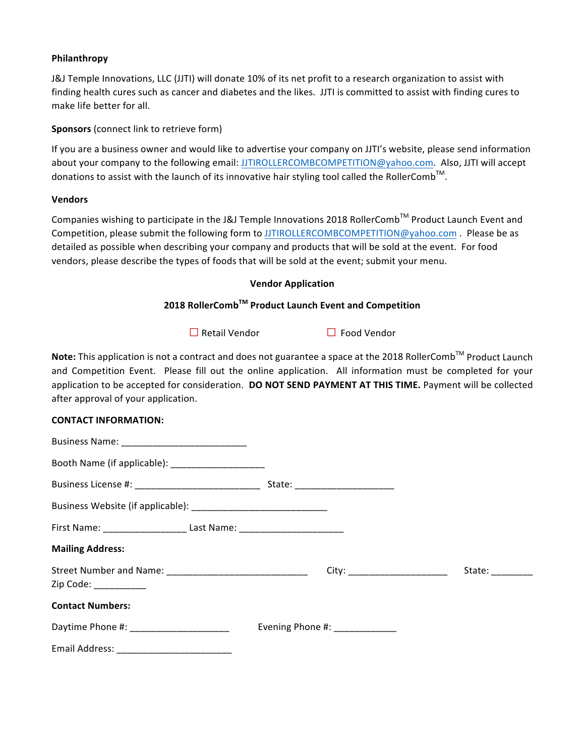### **Philanthropy**

J&J Temple Innovations, LLC (JJTI) will donate 10% of its net profit to a research organization to assist with finding health cures such as cancer and diabetes and the likes. JJTI is committed to assist with finding cures to make life better for all.

**Sponsors** (connect link to retrieve form)

If you are a business owner and would like to advertise your company on JJTI's website, please send information about your company to the following email: JJTIROLLERCOMBCOMPETITION@yahoo.com. Also, JJTI will accept donations to assist with the launch of its innovative hair styling tool called the RollerComb $^{\text{\tiny{\textsf{TM}}}}$ .

### **Vendors**

Companies wishing to participate in the J&J Temple Innovations 2018 RollerComb™ Product Launch Event and Competition, please submit the following form to JJTIROLLERCOMBCOMPETITION@yahoo.com . Please be as detailed as possible when describing your company and products that will be sold at the event. For food vendors, please describe the types of foods that will be sold at the event; submit your menu.

## **Vendor Application**

# **2018 RollerCombTM Product Launch Event and Competition**

**□**Retail Vendor **□** Food Vendor

**Note:** This application is not a contract and does not guarantee a space at the 2018 RollerComb<sup>™</sup> Product Launch and Competition Event. Please fill out the online application. All information must be completed for your application to be accepted for consideration. DO NOT SEND PAYMENT AT THIS TIME. Payment will be collected after approval of your application.

### **CONTACT INFORMATION:**

| Booth Name (if applicable): _______________________                              |                                  |                  |
|----------------------------------------------------------------------------------|----------------------------------|------------------|
| Business License #: __________________________________                           | State: _________________________ |                  |
|                                                                                  |                                  |                  |
| First Name: _______________________ Last Name: _________________________________ |                                  |                  |
| <b>Mailing Address:</b>                                                          |                                  |                  |
|                                                                                  | City: _________________________  | State: _________ |
| Zip Code: __________                                                             |                                  |                  |
| <b>Contact Numbers:</b>                                                          |                                  |                  |
| Daytime Phone #: _______________________                                         | Evening Phone #: ____________    |                  |
| <b>Email Address:</b>                                                            |                                  |                  |